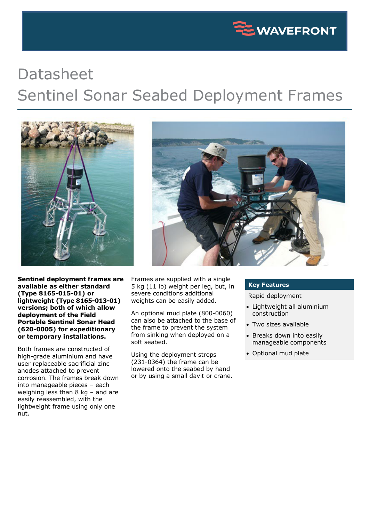

## Datasheet Sentinel Sonar Seabed Deployment Frames



**Sentinel deployment frames are available as either standard (Type 8165-015-01) or lightweight (Type 8165-013-01) versions; both of which allow deployment of the Field Portable Sentinel Sonar Head (620-0005) for expeditionary or temporary installations.**

Both frames are constructed of high-grade aluminium and have user replaceable sacrificial zinc anodes attached to prevent corrosion. The frames break down into manageable pieces – each weighing less than 8 kg – and are easily reassembled, with the lightweight frame using only one nut.

Frames are supplied with a single 5 kg (11 lb) weight per leg, but, in severe conditions additional weights can be easily added.

An optional mud plate (800-0060) can also be attached to the base of the frame to prevent the system from sinking when deployed on a soft seabed.

Using the deployment strops (231-0364) the frame can be lowered onto the seabed by hand or by using a small davit or crane.

## **Key Features**

Rapid deployment

- Lightweight all aluminium construction
- Two sizes available
- Breaks down into easily manageable components
- Optional mud plate